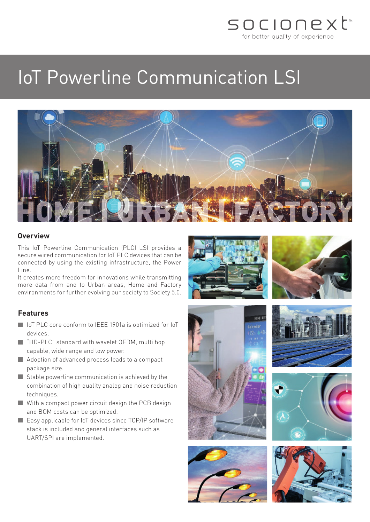

# IoT Powerline Communication LSI



### **Overview**

This IoT Powerline Communication (PLC) LSI provides a secure wired communication for IoT PLC devices that can be connected by using the existing infrastructure, the Power Line.

It creates more freedom for innovations while transmitting more data from and to Urban areas, Home and Factory environments for further evolving our society to Society 5.0.

#### **Features**

- IoT PLC core conform to IEEE 1901a is optimized for IoT devices.
- "HD-PLC" standard with wavelet OFDM, multi hop capable, wide range and low power.
- Adoption of advanced process leads to a compact package size.
- $\blacksquare$  Stable powerline communication is achieved by the combination of high quality analog and noise reduction techniques.
- With a compact power circuit design the PCB design and BOM costs can be optimized.
- Easy applicable for IoT devices since TCP/IP software stack is included and general interfaces such as UART/SPI are implemented.